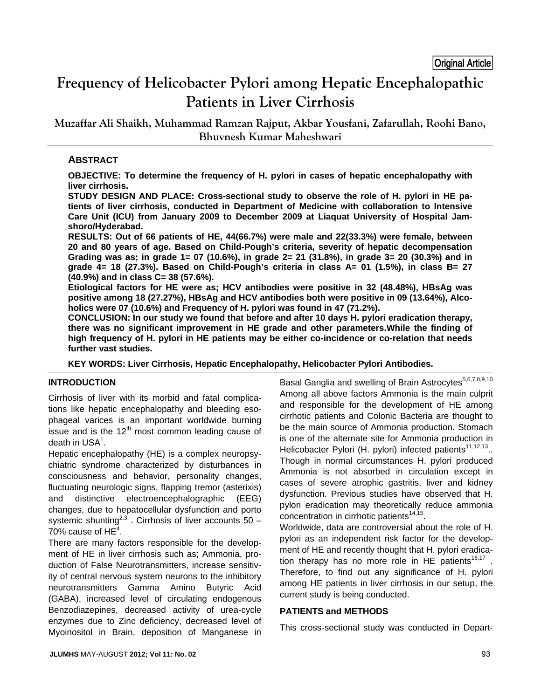# **Frequency of Helicobacter Pylori among Hepatic Encephalopathic Patients in Liver Cirrhosis**

**Muzaffar Ali Shaikh, Muhammad Ramzan Rajput, Akbar Yousfani, Zafarullah, Roohi Bano, Bhuvnesh Kumar Maheshwari**

# **ABSTRACT**

**OBJECTIVE: To determine the frequency of H. pylori in cases of hepatic encephalopathy with liver cirrhosis.** 

**STUDY DESIGN AND PLACE: Cross-sectional study to observe the role of H. pylori in HE patients of liver cirrhosis, conducted in Department of Medicine with collaboration to Intensive Care Unit (ICU) from January 2009 to December 2009 at Liaquat University of Hospital Jamshoro/Hyderabad.** 

**RESULTS: Out of 66 patients of HE, 44(66.7%) were male and 22(33.3%) were female, between 20 and 80 years of age. Based on Child-Pough's criteria, severity of hepatic decompensation Grading was as; in grade 1= 07 (10.6%), in grade 2= 21 (31.8%), in grade 3= 20 (30.3%) and in grade 4= 18 (27.3%). Based on Child-Pough's criteria in class A= 01 (1.5%), in class B= 27 (40.9%) and in class C= 38 (57.6%).** 

**Etiological factors for HE were as; HCV antibodies were positive in 32 (48.48%), HBsAg was positive among 18 (27.27%), HBsAg and HCV antibodies both were positive in 09 (13.64%), Alcoholics were 07 (10.6%) and Frequency of H. pylori was found in 47 (71.2%).** 

**CONCLUSION: In our study we found that before and after 10 days H. pylori eradication therapy, there was no significant improvement in HE grade and other parameters.While the finding of high frequency of H. pylori in HE patients may be either co-incidence or co-relation that needs further vast studies.** 

**KEY WORDS: Liver Cirrhosis, Hepatic Encephalopathy, Helicobacter Pylori Antibodies.**

#### **INTRODUCTION**

Cirrhosis of liver with its morbid and fatal complications like hepatic encephalopathy and bleeding esophageal varices is an important worldwide burning issue and is the  $12<sup>th</sup>$  most common leading cause of death in  $USA<sup>1</sup>$ .

Hepatic encephalopathy (HE) is a complex neuropsychiatric syndrome characterized by disturbances in consciousness and behavior, personality changes, fluctuating neurologic signs, flapping tremor (asterixis) and distinctive electroencephalographic (EEG) changes, due to hepatocellular dysfunction and porto systemic shunting<sup>2,3</sup>. Cirrhosis of liver accounts 50 – 70% cause of  $HE<sup>4</sup>$ .

There are many factors responsible for the development of HE in liver cirrhosis such as; Ammonia, production of False Neurotransmitters, increase sensitivity of central nervous system neurons to the inhibitory neurotransmitters Gamma Amino Butyric Acid (GABA), increased level of circulating endogenous Benzodiazepines, decreased activity of urea-cycle enzymes due to Zinc deficiency, decreased level of Myoinositol in Brain, deposition of Manganese in

Basal Ganglia and swelling of Brain Astrocytes<sup>5,6,7,8,9,10</sup> Among all above factors Ammonia is the main culprit and responsible for the development of HE among cirrhotic patients and Colonic Bacteria are thought to be the main source of Ammonia production. Stomach is one of the alternate site for Ammonia production in Helicobacter Pylori (H. pylori) infected patients<sup>11,12,13</sup>.. Though in normal circumstances H. pylori produced Ammonia is not absorbed in circulation except in cases of severe atrophic gastritis, liver and kidney dysfunction. Previous studies have observed that H. pylori eradication may theoretically reduce ammonia concentration in cirrhotic patients<sup>14,15</sup>.

Worldwide, data are controversial about the role of H. pylori as an independent risk factor for the development of HE and recently thought that H. pylori eradication therapy has no more role in HE patients<sup>16,17</sup>.

Therefore, to find out any significance of H. pylori among HE patients in liver cirrhosis in our setup, the current study is being conducted.

#### **PATIENTS and METHODS**

This cross-sectional study was conducted in Depart-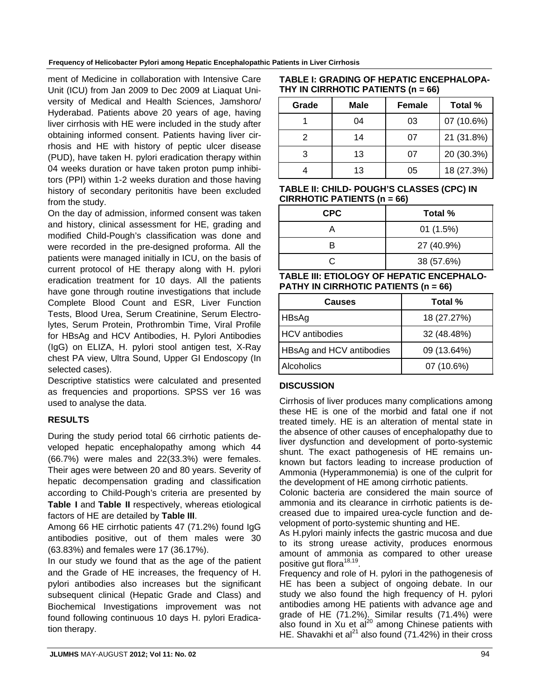#### **Frequency of Helicobacter Pylori among Hepatic Encephalopathic Patients in Liver Cirrhosis**

ment of Medicine in collaboration with Intensive Care Unit (ICU) from Jan 2009 to Dec 2009 at Liaquat University of Medical and Health Sciences, Jamshoro/ Hyderabad. Patients above 20 years of age, having liver cirrhosis with HE were included in the study after obtaining informed consent. Patients having liver cirrhosis and HE with history of peptic ulcer disease (PUD), have taken H. pylori eradication therapy within 04 weeks duration or have taken proton pump inhibitors (PPI) within 1-2 weeks duration and those having history of secondary peritonitis have been excluded from the study.

On the day of admission, informed consent was taken and history, clinical assessment for HE, grading and modified Child-Pough's classification was done and were recorded in the pre-designed proforma. All the patients were managed initially in ICU, on the basis of current protocol of HE therapy along with H. pylori eradication treatment for 10 days. All the patients have gone through routine investigations that include Complete Blood Count and ESR, Liver Function Tests, Blood Urea, Serum Creatinine, Serum Electrolytes, Serum Protein, Prothrombin Time, Viral Profile for HBsAg and HCV Antibodies, H. Pylori Antibodies (IgG) on ELIZA, H. pylori stool antigen test, X-Ray chest PA view, Ultra Sound, Upper GI Endoscopy (In selected cases).

Descriptive statistics were calculated and presented as frequencies and proportions. SPSS ver 16 was used to analyse the data.

# **RESULTS**

During the study period total 66 cirrhotic patients developed hepatic encephalopathy among which 44 (66.7%) were males and 22(33.3%) were females. Their ages were between 20 and 80 years. Severity of hepatic decompensation grading and classification according to Child-Pough's criteria are presented by **Table I** and **Table II** respectively, whereas etiological factors of HE are detailed by **Table III**.

Among 66 HE cirrhotic patients 47 (71.2%) found IgG antibodies positive, out of them males were 30 (63.83%) and females were 17 (36.17%).

In our study we found that as the age of the patient and the Grade of HE increases, the frequency of H. pylori antibodies also increases but the significant subsequent clinical (Hepatic Grade and Class) and Biochemical Investigations improvement was not found following continuous 10 days H. pylori Eradication therapy.

| TABLE I: GRADING OF HEPATIC ENCEPHALOPA- |  |
|------------------------------------------|--|
| THY IN CIRRHOTIC PATIENTS (n = 66)       |  |

| Grade | Male | <b>Female</b> | Total %    |
|-------|------|---------------|------------|
|       | 04   | 03            | 07 (10.6%) |
|       | 14   | 07            | 21 (31.8%) |
| 3     | 13   | 07            | 20 (30.3%) |
|       | 13   | 05            | 18 (27.3%) |

**TABLE II: CHILD- POUGH'S CLASSES (CPC) IN CIRRHOTIC PATIENTS (n = 66)** 

| <b>CPC</b> | Total %    |
|------------|------------|
|            | 01(1.5%)   |
| R          | 27 (40.9%) |
|            | 38 (57.6%) |

**TABLE III: ETIOLOGY OF HEPATIC ENCEPHALO-PATHY IN CIRRHOTIC PATIENTS (n = 66)** 

| Causes                   | Total %     |
|--------------------------|-------------|
| HBsAg                    | 18 (27.27%) |
| <b>HCV</b> antibodies    | 32 (48.48%) |
| HBsAg and HCV antibodies | 09 (13.64%) |
| Alcoholics               | 07 (10.6%)  |

#### **DISCUSSION**

Cirrhosis of liver produces many complications among these HE is one of the morbid and fatal one if not treated timely. HE is an alteration of mental state in the absence of other causes of encephalopathy due to liver dysfunction and development of porto-systemic shunt. The exact pathogenesis of HE remains unknown but factors leading to increase production of Ammonia (Hyperammonemia) is one of the culprit for the development of HE among cirrhotic patients.

Colonic bacteria are considered the main source of ammonia and its clearance in cirrhotic patients is decreased due to impaired urea-cycle function and development of porto-systemic shunting and HE.

As H.pylori mainly infects the gastric mucosa and due to its strong urease activity, produces enormous amount of ammonia as compared to other urease positive gut flora<sup>18,19</sup>.

Frequency and role of H. pylori in the pathogenesis of HE has been a subject of ongoing debate. In our study we also found the high frequency of H. pylori antibodies among HE patients with advance age and grade of HE (71.2%). Similar results (71.4%) were also found in  $\chi$ u et al $^{20}$  among Chinese patients with HE. Shavakhi et al<sup>21</sup> also found (71.42%) in their cross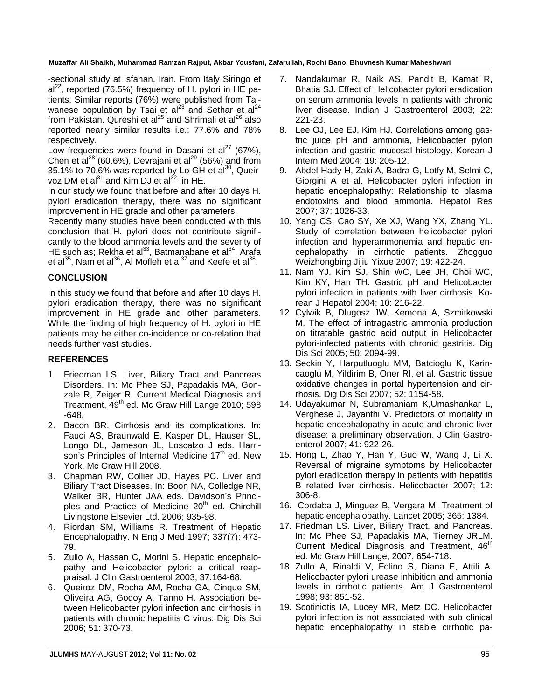**Muzaffar Ali Shaikh, Muhammad Ramzan Rajput, Akbar Yousfani, Zafarullah, Roohi Bano, Bhuvnesh Kumar Maheshwari** 

-sectional study at Isfahan, Iran. From Italy Siringo et al<sup>22</sup>, reported (76.5%) frequency of H. pylori in HE patients. Similar reports (76%) were published from Taiwanese population by Tsai et al<sup>23</sup> and Sethar et al<sup>24</sup> from Pakistan. Qureshi et al<sup>25</sup> and Shrimali et al<sup>26</sup> also reported nearly similar results i.e.; 77.6% and 78% respectively.

Low frequencies were found in Dasani et al<sup>27</sup> (67%), Chen et al<sup>28</sup> (60.6%), Devrajani et al<sup>29</sup> (56%) and from 35.1% to 70.6% was reported by Lo GH et al<sup>30</sup>, Queirvoz DM et al $^{31}$  and Kim DJ et al $^{32}$  in HE.

In our study we found that before and after 10 days H. pylori eradication therapy, there was no significant improvement in HE grade and other parameters.

Recently many studies have been conducted with this conclusion that H. pylori does not contribute significantly to the blood ammonia levels and the severity of HE such as; Rekha et al<sup>33</sup>, Batmanabane et al<sup>34</sup>, Arafa et al<sup>35</sup>, Nam et al<sup>36</sup>, Al Mofleh et al<sup>37</sup> and Keefe et al<sup>38</sup>.

### **CONCLUSION**

In this study we found that before and after 10 days H. pylori eradication therapy, there was no significant improvement in HE grade and other parameters. While the finding of high frequency of H. pylori in HE patients may be either co-incidence or co-relation that needs further vast studies.

#### **REFERENCES**

- 1. Friedman LS. Liver, Biliary Tract and Pancreas Disorders. In: Mc Phee SJ, Papadakis MA, Gonzale R, Zeiger R. Current Medical Diagnosis and Treatment, 49<sup>th</sup> ed. Mc Graw Hill Lange 2010; 598 -648.
- 2. Bacon BR. Cirrhosis and its complications. In: Fauci AS, Braunwald E, Kasper DL, Hauser SL, Longo DL, Jameson JL, Loscalzo J eds. Harrison's Principles of Internal Medicine  $17<sup>th</sup>$  ed. New York, Mc Graw Hill 2008.
- 3. Chapman RW, Collier JD, Hayes PC. Liver and Biliary Tract Diseases. In: Boon NA, Colledge NR, Walker BR, Hunter JAA eds. Davidson's Principles and Practice of Medicine  $20<sup>th</sup>$  ed. Chirchill Livingstone Elsevier Ltd. 2006; 935-98.
- 4. Riordan SM, Williams R. Treatment of Hepatic Encephalopathy. N Eng J Med 1997; 337(7): 473- 79.
- 5. Zullo A, Hassan C, Morini S. Hepatic encephalopathy and Helicobacter pylori: a critical reappraisal. J Clin Gastroenterol 2003; 37:164-68.
- 6. Queiroz DM, Rocha AM, Rocha GA, Cinque SM, Oliveira AG, Godoy A, Tanno H. Association between Helicobacter pylori infection and cirrhosis in patients with chronic hepatitis C virus. Dig Dis Sci 2006; 51: 370-73.
- 7. Nandakumar R, Naik AS, Pandit B, Kamat R, Bhatia SJ. Effect of Helicobacter pylori eradication on serum ammonia levels in patients with chronic liver disease. Indian J Gastroenterol 2003; 22: 221-23.
- 8. Lee OJ, Lee EJ, Kim HJ. Correlations among gastric juice pH and ammonia, Helicobacter pylori infection and gastric mucosal histology. Korean J Intern Med 2004; 19: 205-12.
- 9. Abdel-Hady H, Zaki A, Badra G, Lotfy M, Selmi C, Giorgini A et al. Helicobacter pylori infection in hepatic encephalopathy: Relationship to plasma endotoxins and blood ammonia. Hepatol Res 2007; 37: 1026-33.
- 10. Yang CS, Cao SY, Xe XJ, Wang YX, Zhang YL. Study of correlation between helicobacter pylori infection and hyperammonemia and hepatic encephalopathy in cirrhotic patients. Zhogguo Weizhongbing Jijiu Yixue 2007; 19: 422-24.
- 11. Nam YJ, Kim SJ, Shin WC, Lee JH, Choi WC, Kim KY, Han TH. Gastric pH and Helicobacter pylori infection in patients with liver cirrhosis. Korean J Hepatol 2004; 10: 216-22.
- 12. Cylwik B, Dlugosz JW, Kemona A, Szmitkowski M. The effect of intragastric ammonia production on titratable gastric acid output in Helicobacter pylori-infected patients with chronic gastritis. Dig Dis Sci 2005; 50: 2094-99.
- 13. Seckin Y, Harputluoglu MM, Batcioglu K, Karincaoglu M, Yildirim B, Oner RI, et al. Gastric tissue oxidative changes in portal hypertension and cirrhosis. Dig Dis Sci 2007; 52: 1154-58.
- 14. Udayakumar N, Subramaniam K,Umashankar L, Verghese J, Jayanthi V. Predictors of mortality in hepatic encephalopathy in acute and chronic liver disease: a preliminary observation. J Clin Gastroenterol 2007; 41: 922-26.
- 15. Hong L, Zhao Y, Han Y, Guo W, Wang J, Li X. Reversal of migraine symptoms by Helicobacter pylori eradication therapy in patients with hepatitis B related liver cirrhosis. Helicobacter 2007; 12: 306-8.
- 16. Cordaba J, Minguez B, Vergara M. Treatment of hepatic encephalopathy. Lancet 2005; 365: 1384.
- 17. Friedman LS. Liver, Biliary Tract, and Pancreas. In: Mc Phee SJ, Papadakis MA, Tierney JRLM. Current Medical Diagnosis and Treatment, 46<sup>th</sup> ed. Mc Graw Hill Lange, 2007; 654-718.
- 18. Zullo A, Rinaldi V, Folino S, Diana F, Attili A. Helicobacter pylori urease inhibition and ammonia levels in cirrhotic patients. Am J Gastroenterol 1998; 93: 851-52.
- 19. Scotiniotis IA, Lucey MR, Metz DC. Helicobacter pylori infection is not associated with sub clinical hepatic encephalopathy in stable cirrhotic pa-